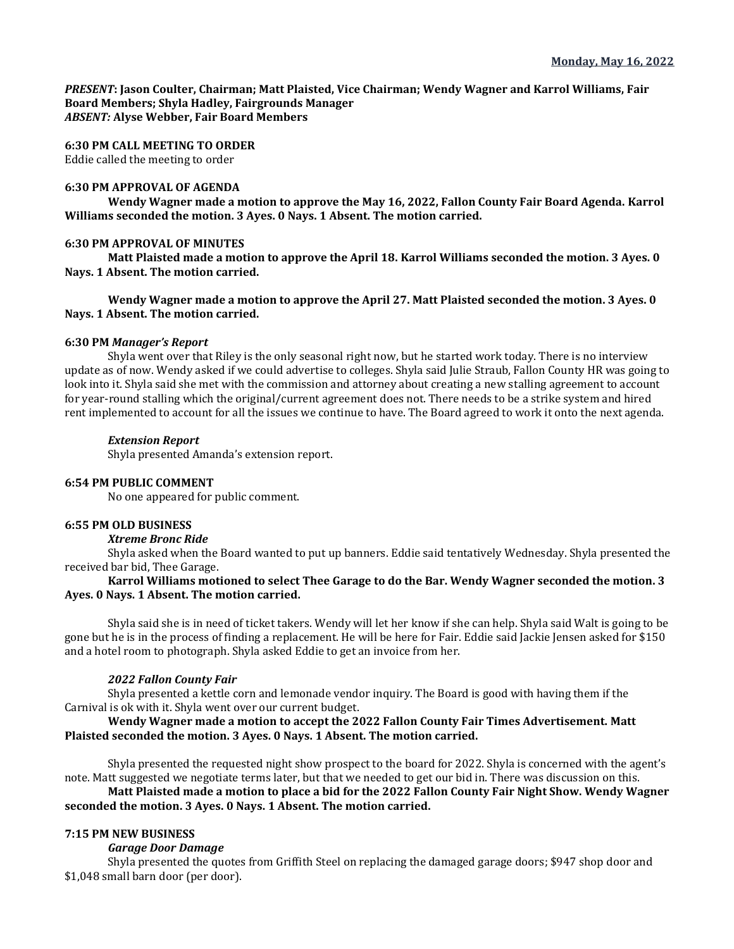*PRESENT***: Jason Coulter, Chairman; Matt Plaisted, Vice Chairman; Wendy Wagner and Karrol Williams, Fair Board Members; Shyla Hadley, Fairgrounds Manager** *ABSENT:* **Alyse Webber, Fair Board Members**

# **6:30 PM CALL MEETING TO ORDER**

Eddie called the meeting to order

### **6:30 PM APPROVAL OF AGENDA**

**Wendy Wagner made a motion to approve the May 16, 2022, Fallon County Fair Board Agenda. Karrol Williams seconded the motion. 3 Ayes. 0 Nays. 1 Absent. The motion carried.** 

### **6:30 PM APPROVAL OF MINUTES**

**Matt Plaisted made a motion to approve the April 18. Karrol Williams seconded the motion. 3 Ayes. 0 Nays. 1 Absent. The motion carried.**

**Wendy Wagner made a motion to approve the April 27. Matt Plaisted seconded the motion. 3 Ayes. 0 Nays. 1 Absent. The motion carried.**

### **6:30 PM** *Manager's Report*

Shyla went over that Riley is the only seasonal right now, but he started work today. There is no interview update as of now. Wendy asked if we could advertise to colleges. Shyla said Julie Straub, Fallon County HR was going to look into it. Shyla said she met with the commission and attorney about creating a new stalling agreement to account for year-round stalling which the original/current agreement does not. There needs to be a strike system and hired rent implemented to account for all the issues we continue to have. The Board agreed to work it onto the next agenda.

## *Extension Report*

Shyla presented Amanda's extension report.

#### **6:54 PM PUBLIC COMMENT**

No one appeared for public comment.

#### **6:55 PM OLD BUSINESS**

#### *Xtreme Bronc Ride*

Shyla asked when the Board wanted to put up banners. Eddie said tentatively Wednesday. Shyla presented the received bar bid, Thee Garage.

# **Karrol Williams motioned to select Thee Garage to do the Bar. Wendy Wagner seconded the motion. 3 Ayes. 0 Nays. 1 Absent. The motion carried.**

Shyla said she is in need of ticket takers. Wendy will let her know if she can help. Shyla said Walt is going to be gone but he is in the process of finding a replacement. He will be here for Fair. Eddie said Jackie Jensen asked for \$150 and a hotel room to photograph. Shyla asked Eddie to get an invoice from her.

# *2022 Fallon County Fair*

Shyla presented a kettle corn and lemonade vendor inquiry. The Board is good with having them if the Carnival is ok with it. Shyla went over our current budget.

# **Wendy Wagner made a motion to accept the 2022 Fallon County Fair Times Advertisement. Matt Plaisted seconded the motion. 3 Ayes. 0 Nays. 1 Absent. The motion carried.**

Shyla presented the requested night show prospect to the board for 2022. Shyla is concerned with the agent's note. Matt suggested we negotiate terms later, but that we needed to get our bid in. There was discussion on this.

# **Matt Plaisted made a motion to place a bid for the 2022 Fallon County Fair Night Show. Wendy Wagner seconded the motion. 3 Ayes. 0 Nays. 1 Absent. The motion carried.**

## **7:15 PM NEW BUSINESS**

## *Garage Door Damage*

Shyla presented the quotes from Griffith Steel on replacing the damaged garage doors; \$947 shop door and \$1,048 small barn door (per door).